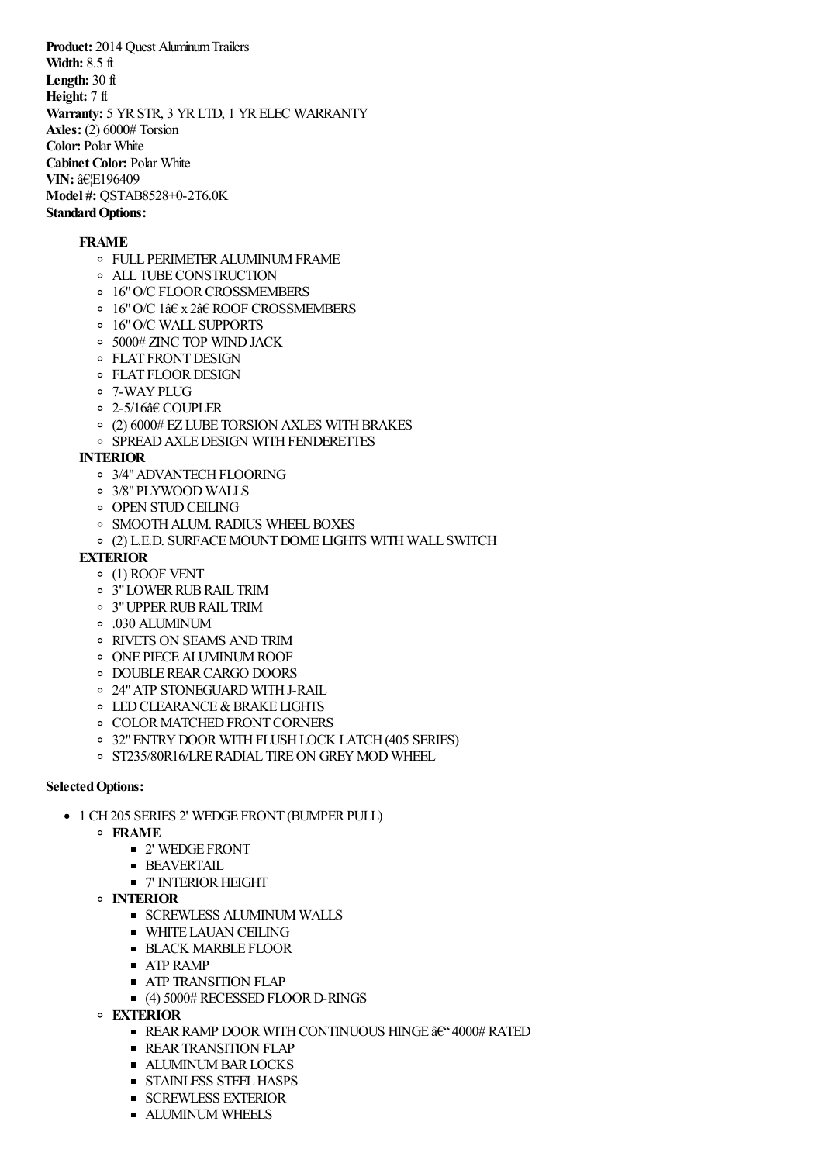**Product:** 2014 Quest Aluminum Trailers **Width:** 8.5 ft **Length:** 30 ft **Height:** 7 ft Warranty: 5 YR STR, 3 YR LTD, 1 YR ELEC WARRANTY **Axles:** (2) 6000# Torsion **Color:** Polar White **Cabinet Color:** Polar White **VIN: …E196409 Model #:** QSTAB8528+0-2T6.0K **Standard Options:** 

## **FRAME**

- FULL PERIMETERALUMINUMFRAME
- ALL TUBECONSTRUCTION
- o 16" O/C FLOOR CROSSMEMBERS
- 16"O/C 1â€ x 2â€ ROOF CROSSMEMBERS
- 16"O/C WALL SUPPORTS
- 5000# ZINC TOP WINDJACK
- **O** FLAT FRONT DESIGN
- o FLAT FLOOR DESIGN
- 7-WAYPLUG
- 2-5/16â€ COUPLER
- $\circ$  (2) 6000# EZ LUBE TORSION AXLES WITH BRAKES
- o SPREAD AXLE DESIGN WITH FENDERETTES

## **INTERIOR**

- o 3/4" ADVANTECH FLOORING
- 3/8"PLYWOOD WALLS
- **OPEN STUD CEILING**
- <sup>o</sup> SMOOTH ALUM. RADIUS WHEEL BOXES
- (2) L.E.D. SURFACEMOUNTDOME LIGHTS WITH WALL SWITCH

## **EXTERIOR**

- (1) ROOF VENT
- <sup>o</sup> 3" LOWER RUB RAIL TRIM
- 3"UPPERRUBRAIL TRIM
- .030 ALUMINUM
- RIVETS ON SEAMS ANDTRIM
- o ONE PIECE ALUMINUM ROOF
- o DOUBLE REAR CARGO DOORS
- 24"ATP STONEGUARD WITHJ-RAIL
- **O LED CLEARANCE & BRAKE LIGHTS**
- **O COLOR MATCHED FRONT CORNERS**
- <sup>o</sup> 32" ENTRY DOOR WITH FLUSH LOCK LATCH (405 SERIES)
- o ST235/80R16/LRE RADIAL TIRE ON GREY MOD WHEEL

## **Selected Options:**

- 1 CH 205 SERIES 2' WEDGE FRONT (BUMPER PULL)
	- **FRAME**
		- 2' WEDGE FRONT
		- **BEAVERTAIL**
		- 7' INTERIOR HEIGHT
	- **INTERIOR**
		- **SCREWLESS ALUMINUM WALLS**
		- **WHITE LAUAN CEILING**
		- **BLACK MARBLE FLOOR**
		- ATP RAMP
		- **ATP TRANSITION FLAP**
		- (4) 5000# RECESSED FLOOR D-RINGS
	- **EXTERIOR**
		- **REAR RAMP DOOR WITH CONTINUOUS HINGE**  $\frac{\partial E}{\partial t}$  **4000# RATED**
		- **REAR TRANSITION FLAP**
		- **ALUMINUM BAR LOCKS**
		- **STAINLESS STEEL HASPS**
		- **SCREWLESS EXTERIOR**
		- **EXALUMINUM WHEELS**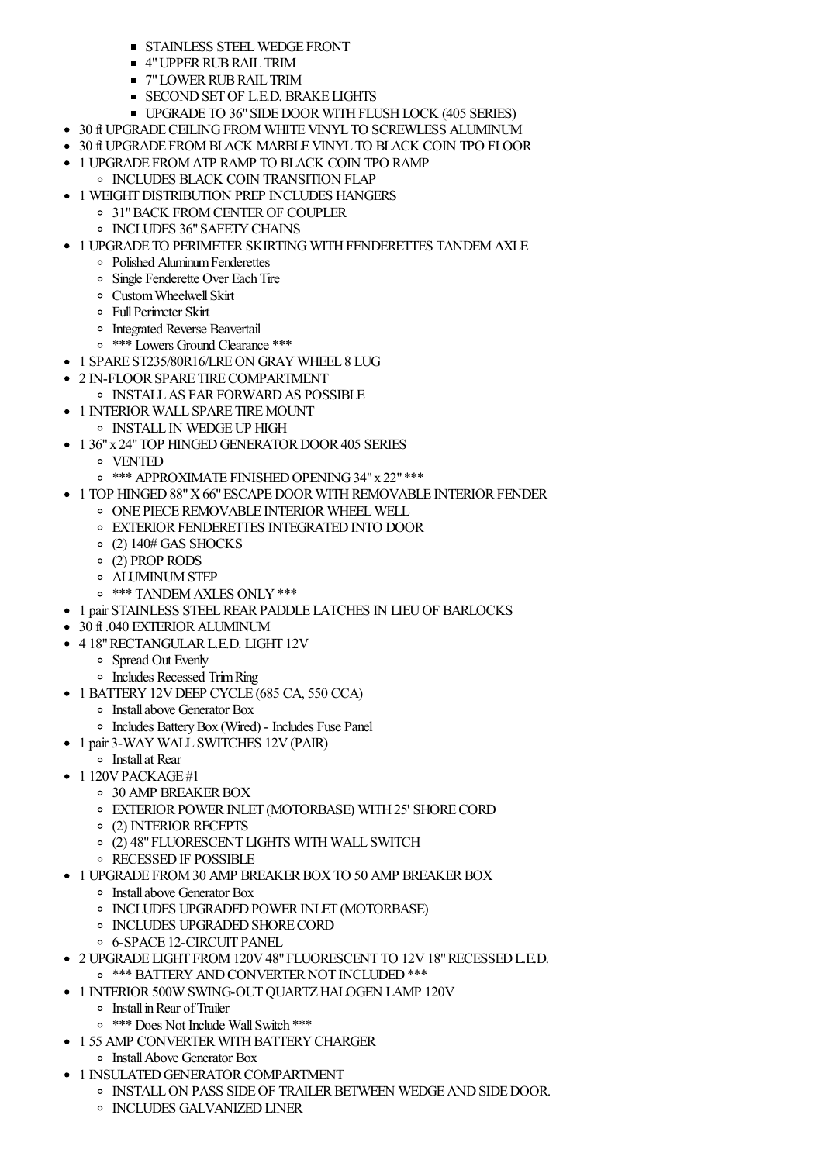- **STAINLESS STEEL WEDGE FRONT**
- 4"UPPERRUBRAIL TRIM
- **T** 7" LOWER RUB RAIL TRIM
- **SECOND SET OF L.E.D. BRAKE LIGHTS**
- **UPGRADE TO 36" SIDE DOOR WITH FLUSH LOCK (405 SERIES)**
- 30 ft UPGRADE CEILING FROM WHITE VINYL TO SCREWLESS ALUMINUM
- 30 ft UPGRADE FROM BLACK MARBLE VINYL TO BLACK COIN TPO FLOOR
- 1 UPGRADE FROMATP RAMP TO BLACK COIN TPO RAMP
- **O INCLUDES BLACK COIN TRANSITION FLAP**
- 1 WEIGHT DISTRIBUTION PREP INCLUDES HANGERS
	- 31"BACK FROMCENTEROF COUPLER o INCLUDES 36" SAFETY CHAINS
- 1 UPGRADE TO PERIMETER SKIRTING WITH FENDERETTES TANDEM AXLE
	- Polished AluminumFenderettes
	- Single Fenderette Over EachTire
	- CustomWheelwellSkirt
	- FullPerimeter Skirt
	- Integrated Reverse Beavertail
	- \*\*\* Lowers Ground Clearance \*\*\*
- 1 SPARE ST235/80R16/LRE ON GRAY WHEEL 8 LUG
- 2 IN-FLOORSPARE TIRECOMPARTMENT
	- o INSTALL AS FAR FORWARD AS POSSIBLE
- 1 INTERIOR WALL SPARE TIRE MOUNT
- $\circ~$  INSTALL IN WEDGE UP HIGH
- 1 36" x 24" TOP HINGED GENERATOR DOOR 405 SERIES
	- VENTED
	- o \*\*\* APPROXIMATE FINISHED OPENING 34" x 22" \*\*\*
- 1 TOP HINGED 88" X 66" ESCAPE DOOR WITH REMOVABLE INTERIOR FENDER
	- o ONE PIECE REMOVABLE INTERIOR WHEEL WELL
	- **O EXTERIOR FENDERETTES INTEGRATED INTO DOOR**
	- $\circ$  (2) 140# GAS SHOCKS
	- (2) PROP RODS
	- ALUMINUMSTEP
	- o \*\*\* TANDEM AXLES ONLY \*\*\*
- 1 pair STAINLESS STEELREARPADDLE LATCHES IN LIEUOF BARLOCKS
- 30 ft .040 EXTERIOR ALUMINUM
- 4 18"RECTANGULARL.E.D. LIGHT 12V
	- Spread Out Evenly
	- Includes Recessed TrimRing
- 1 BATTERY 12V DEEP CYCLE (685 CA, 550 CCA)
	- Installabove Generator Box
	- Includes BatteryBox (Wired) Includes Fuse Panel
- 1 pair 3-WAY WALL SWITCHES 12V (PAIR)
	- Installat Rear
- $\bullet$  1 120V PACK AGE #1
	- o 30 AMP BREAKER BOX
	- o EXTERIOR POWER INLET (MOTORBASE) WITH 25' SHORE CORD
	- <sup>o</sup> (2) INTERIOR RECEPTS
	- (2) 48"FLUORESCENT LIGHTS WITH WALL SWITCH
	- o RECESSED IF POSSIBLE
- 1 UPGRADE FROM 30 AMP BREAKER BOX TO 50 AMP BREAKER BOX
	- Installabove Generator Box
	- **INCLUDES UPGRADED POWER INLET (MOTORBASE)**
	- **O INCLUDES UPGRADED SHORE CORD**
	- 6-SPACE 12-CIRCUIT PANEL
- 2 UPGRADE LIGHT FROM120V48"FLUORESCENT TO 12V18"RECESSEDL.E.D.
	- o \*\*\* BATTERY AND CONVERTER NOT INCLUDED \*\*\*
- 1 INTERIOR 500W SWING-OUT OUARTZ HALOGEN LAMP 120V
- InstallinRear ofTrailer
	- \*\*\* Does Not Include WallSwitch \*\*\*
- 1 55 AMP CONVERTER WITH BATTERY CHARGER
- InstallAbove Generator Box
- 1 INSULATED GENERATOR COMPARTMENT
	- $\circ$  INSTALL ON PASS SIDE OF TRAILER BETWEEN WEDGE AND SIDE DOOR.
		- **O** INCLUDES GALVANIZED LINER